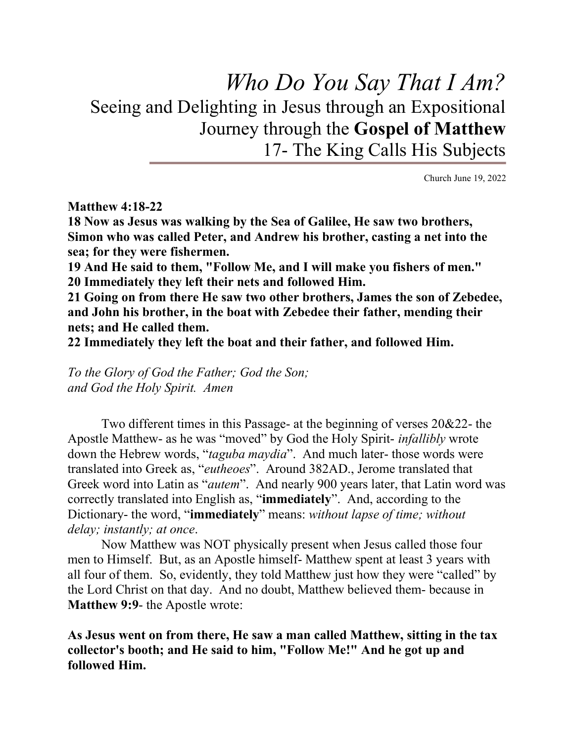# Who Do You Say That I Am? Seeing and Delighting in Jesus through an Expositional Journey through the Gospel of Matthew 17- The King Calls His Subjects

Church June 19, 2022

#### Matthew 4:18-22

18 Now as Jesus was walking by the Sea of Galilee, He saw two brothers, Simon who was called Peter, and Andrew his brother, casting a net into the sea; for they were fishermen.

19 And He said to them, "Follow Me, and I will make you fishers of men." 20 Immediately they left their nets and followed Him.

21 Going on from there He saw two other brothers, James the son of Zebedee, and John his brother, in the boat with Zebedee their father, mending their nets; and He called them.

22 Immediately they left the boat and their father, and followed Him.

To the Glory of God the Father; God the Son; and God the Holy Spirit. Amen

Two different times in this Passage- at the beginning of verses 20&22- the Apostle Matthew- as he was "moved" by God the Holy Spirit- infallibly wrote down the Hebrew words, "*taguba maydia*". And much later- those words were translated into Greek as, "eutheoes". Around 382AD., Jerome translated that Greek word into Latin as "autem". And nearly 900 years later, that Latin word was correctly translated into English as, "immediately". And, according to the Dictionary- the word, "immediately" means: without lapse of time; without delay; instantly; at once.

Now Matthew was NOT physically present when Jesus called those four men to Himself. But, as an Apostle himself- Matthew spent at least 3 years with all four of them. So, evidently, they told Matthew just how they were "called" by the Lord Christ on that day. And no doubt, Matthew believed them- because in Matthew 9:9- the Apostle wrote:

As Jesus went on from there, He saw a man called Matthew, sitting in the tax collector's booth; and He said to him, "Follow Me!" And he got up and followed Him.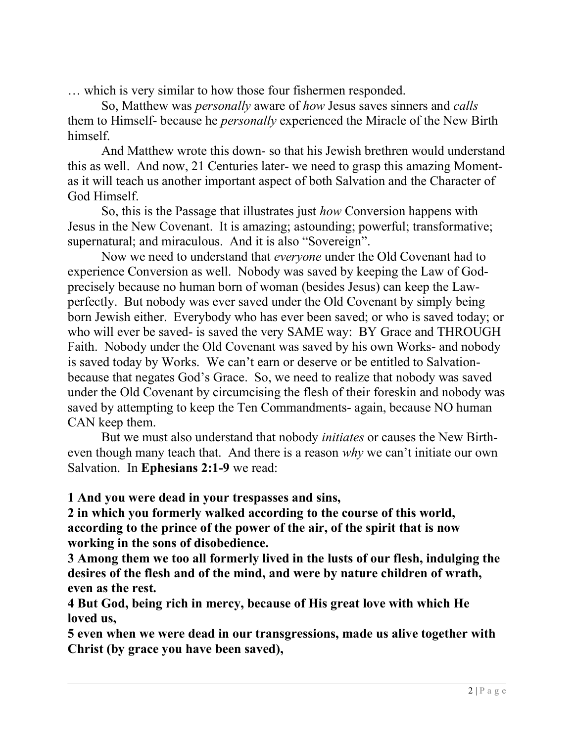… which is very similar to how those four fishermen responded.

So, Matthew was personally aware of how Jesus saves sinners and calls them to Himself- because he personally experienced the Miracle of the New Birth himself.

And Matthew wrote this down- so that his Jewish brethren would understand this as well. And now, 21 Centuries later- we need to grasp this amazing Momentas it will teach us another important aspect of both Salvation and the Character of God Himself.

So, this is the Passage that illustrates just how Conversion happens with Jesus in the New Covenant. It is amazing; astounding; powerful; transformative; supernatural; and miraculous. And it is also "Sovereign".

Now we need to understand that everyone under the Old Covenant had to experience Conversion as well. Nobody was saved by keeping the Law of Godprecisely because no human born of woman (besides Jesus) can keep the Lawperfectly. But nobody was ever saved under the Old Covenant by simply being born Jewish either. Everybody who has ever been saved; or who is saved today; or who will ever be saved- is saved the very SAME way: BY Grace and THROUGH Faith. Nobody under the Old Covenant was saved by his own Works- and nobody is saved today by Works. We can't earn or deserve or be entitled to Salvationbecause that negates God's Grace. So, we need to realize that nobody was saved under the Old Covenant by circumcising the flesh of their foreskin and nobody was saved by attempting to keep the Ten Commandments- again, because NO human CAN keep them.

But we must also understand that nobody initiates or causes the New Birtheven though many teach that. And there is a reason why we can't initiate our own Salvation. In Ephesians 2:1-9 we read:

1 And you were dead in your trespasses and sins,

2 in which you formerly walked according to the course of this world, according to the prince of the power of the air, of the spirit that is now working in the sons of disobedience.

3 Among them we too all formerly lived in the lusts of our flesh, indulging the desires of the flesh and of the mind, and were by nature children of wrath, even as the rest.

4 But God, being rich in mercy, because of His great love with which He loved us,

5 even when we were dead in our transgressions, made us alive together with Christ (by grace you have been saved),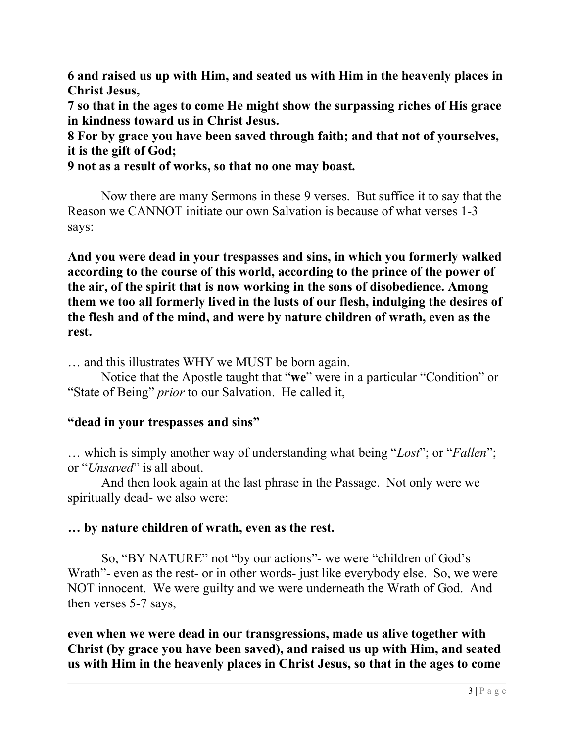6 and raised us up with Him, and seated us with Him in the heavenly places in Christ Jesus,

7 so that in the ages to come He might show the surpassing riches of His grace in kindness toward us in Christ Jesus.

8 For by grace you have been saved through faith; and that not of yourselves, it is the gift of God;

9 not as a result of works, so that no one may boast.

Now there are many Sermons in these 9 verses. But suffice it to say that the Reason we CANNOT initiate our own Salvation is because of what verses 1-3 says:

And you were dead in your trespasses and sins, in which you formerly walked according to the course of this world, according to the prince of the power of the air, of the spirit that is now working in the sons of disobedience. Among them we too all formerly lived in the lusts of our flesh, indulging the desires of the flesh and of the mind, and were by nature children of wrath, even as the rest.

… and this illustrates WHY we MUST be born again.

Notice that the Apostle taught that "we" were in a particular "Condition" or "State of Being" *prior* to our Salvation. He called it,

#### "dead in your trespasses and sins"

... which is simply another way of understanding what being "Lost"; or "Fallen"; or "*Unsaved*" is all about.

And then look again at the last phrase in the Passage. Not only were we spiritually dead- we also were:

## … by nature children of wrath, even as the rest.

So, "BY NATURE" not "by our actions"- we were "children of God's Wrath"- even as the rest- or in other words- just like everybody else. So, we were NOT innocent. We were guilty and we were underneath the Wrath of God. And then verses 5-7 says,

even when we were dead in our transgressions, made us alive together with Christ (by grace you have been saved), and raised us up with Him, and seated us with Him in the heavenly places in Christ Jesus, so that in the ages to come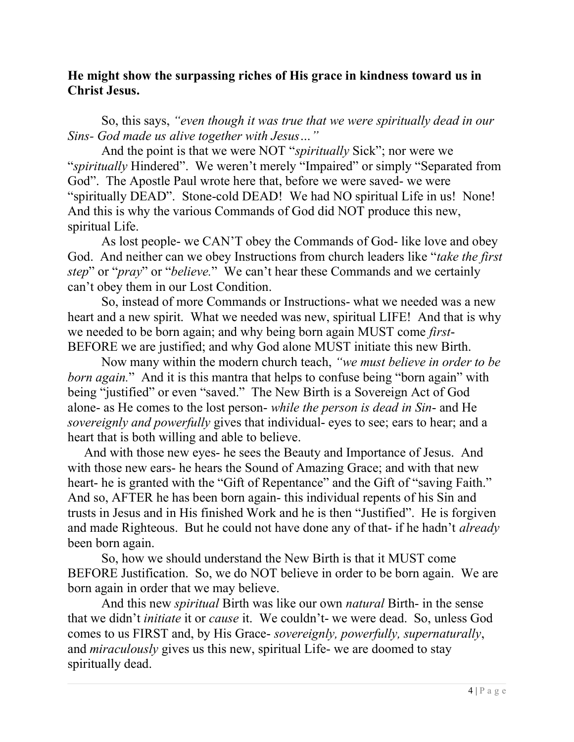## He might show the surpassing riches of His grace in kindness toward us in Christ Jesus.

So, this says, "even though it was true that we were spiritually dead in our Sins- God made us alive together with Jesus…"

And the point is that we were NOT "*spiritually* Sick"; nor were we "spiritually Hindered". We weren't merely "Impaired" or simply "Separated from God". The Apostle Paul wrote here that, before we were saved- we were "spiritually DEAD". Stone-cold DEAD! We had NO spiritual Life in us! None! And this is why the various Commands of God did NOT produce this new, spiritual Life.

As lost people- we CAN'T obey the Commands of God- like love and obey God. And neither can we obey Instructions from church leaders like "take the first" step" or "pray" or "believe." We can't hear these Commands and we certainly can't obey them in our Lost Condition.

So, instead of more Commands or Instructions- what we needed was a new heart and a new spirit. What we needed was new, spiritual LIFE! And that is why we needed to be born again; and why being born again MUST come first-BEFORE we are justified; and why God alone MUST initiate this new Birth.

Now many within the modern church teach, "we must believe in order to be born again." And it is this mantra that helps to confuse being "born again" with being "justified" or even "saved." The New Birth is a Sovereign Act of God alone- as He comes to the lost person- while the person is dead in Sin- and He sovereignly and powerfully gives that individual- eyes to see; ears to hear; and a heart that is both willing and able to believe.

 And with those new eyes- he sees the Beauty and Importance of Jesus. And with those new ears- he hears the Sound of Amazing Grace; and with that new heart- he is granted with the "Gift of Repentance" and the Gift of "saving Faith." And so, AFTER he has been born again- this individual repents of his Sin and trusts in Jesus and in His finished Work and he is then "Justified". He is forgiven and made Righteous. But he could not have done any of that- if he hadn't already been born again.

So, how we should understand the New Birth is that it MUST come BEFORE Justification. So, we do NOT believe in order to be born again. We are born again in order that we may believe.

And this new spiritual Birth was like our own natural Birth- in the sense that we didn't initiate it or cause it. We couldn't- we were dead. So, unless God comes to us FIRST and, by His Grace- sovereignly, powerfully, supernaturally, and miraculously gives us this new, spiritual Life- we are doomed to stay spiritually dead.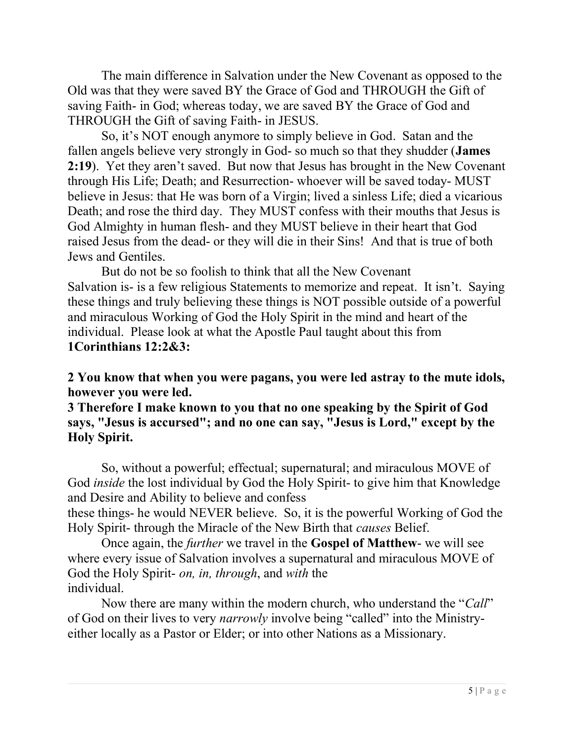The main difference in Salvation under the New Covenant as opposed to the Old was that they were saved BY the Grace of God and THROUGH the Gift of saving Faith- in God; whereas today, we are saved BY the Grace of God and THROUGH the Gift of saving Faith- in JESUS.

So, it's NOT enough anymore to simply believe in God. Satan and the fallen angels believe very strongly in God- so much so that they shudder (James 2:19). Yet they aren't saved. But now that Jesus has brought in the New Covenant through His Life; Death; and Resurrection- whoever will be saved today- MUST believe in Jesus: that He was born of a Virgin; lived a sinless Life; died a vicarious Death; and rose the third day. They MUST confess with their mouths that Jesus is God Almighty in human flesh- and they MUST believe in their heart that God raised Jesus from the dead- or they will die in their Sins! And that is true of both Jews and Gentiles.

But do not be so foolish to think that all the New Covenant Salvation is- is a few religious Statements to memorize and repeat. It isn't. Saying these things and truly believing these things is NOT possible outside of a powerful and miraculous Working of God the Holy Spirit in the mind and heart of the individual. Please look at what the Apostle Paul taught about this from 1Corinthians 12:2&3:

2 You know that when you were pagans, you were led astray to the mute idols, however you were led.

3 Therefore I make known to you that no one speaking by the Spirit of God says, "Jesus is accursed"; and no one can say, "Jesus is Lord," except by the Holy Spirit.

So, without a powerful; effectual; supernatural; and miraculous MOVE of God inside the lost individual by God the Holy Spirit- to give him that Knowledge and Desire and Ability to believe and confess

these things- he would NEVER believe. So, it is the powerful Working of God the Holy Spirit- through the Miracle of the New Birth that causes Belief.

Once again, the further we travel in the Gospel of Matthew- we will see where every issue of Salvation involves a supernatural and miraculous MOVE of God the Holy Spirit- on, in, through, and with the individual.

Now there are many within the modern church, who understand the "Call" of God on their lives to very narrowly involve being "called" into the Ministryeither locally as a Pastor or Elder; or into other Nations as a Missionary.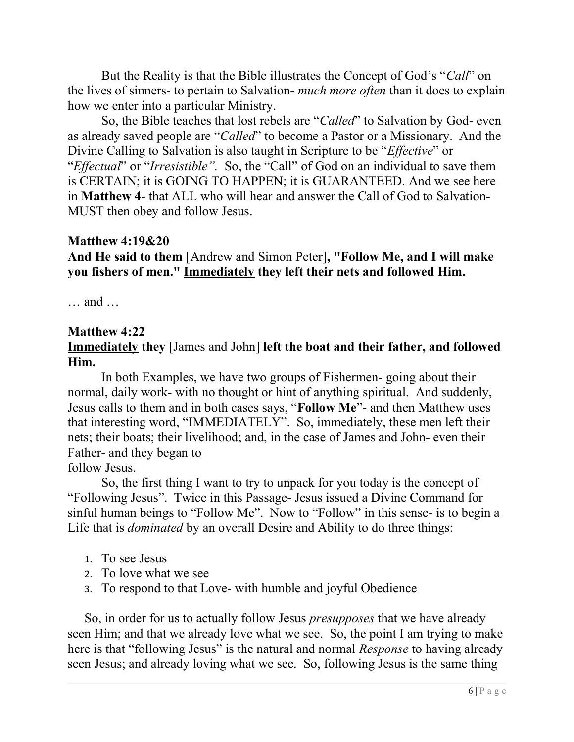But the Reality is that the Bible illustrates the Concept of God's "Call" on the lives of sinners- to pertain to Salvation- *much more often* than it does to explain how we enter into a particular Ministry.

So, the Bible teaches that lost rebels are "Called" to Salvation by God- even as already saved people are "Called" to become a Pastor or a Missionary. And the Divine Calling to Salvation is also taught in Scripture to be "Effective" or "Effectual" or "Irresistible". So, the "Call" of God on an individual to save them is CERTAIN; it is GOING TO HAPPEN; it is GUARANTEED. And we see here in Matthew 4- that ALL who will hear and answer the Call of God to Salvation-MUST then obey and follow Jesus.

#### Matthew 4:19&20

And He said to them [Andrew and Simon Peter], "Follow Me, and I will make you fishers of men." Immediately they left their nets and followed Him.

… and …

## Matthew 4:22

## Immediately they [James and John] left the boat and their father, and followed Him.

In both Examples, we have two groups of Fishermen- going about their normal, daily work- with no thought or hint of anything spiritual. And suddenly, Jesus calls to them and in both cases says, "Follow Me"- and then Matthew uses that interesting word, "IMMEDIATELY". So, immediately, these men left their nets; their boats; their livelihood; and, in the case of James and John- even their Father- and they began to

follow Jesus.

So, the first thing I want to try to unpack for you today is the concept of "Following Jesus". Twice in this Passage- Jesus issued a Divine Command for sinful human beings to "Follow Me". Now to "Follow" in this sense- is to begin a Life that is dominated by an overall Desire and Ability to do three things:

- 1. To see Jesus
- 2. To love what we see
- 3. To respond to that Love- with humble and joyful Obedience

So, in order for us to actually follow Jesus *presupposes* that we have already seen Him; and that we already love what we see. So, the point I am trying to make here is that "following Jesus" is the natural and normal Response to having already seen Jesus; and already loving what we see. So, following Jesus is the same thing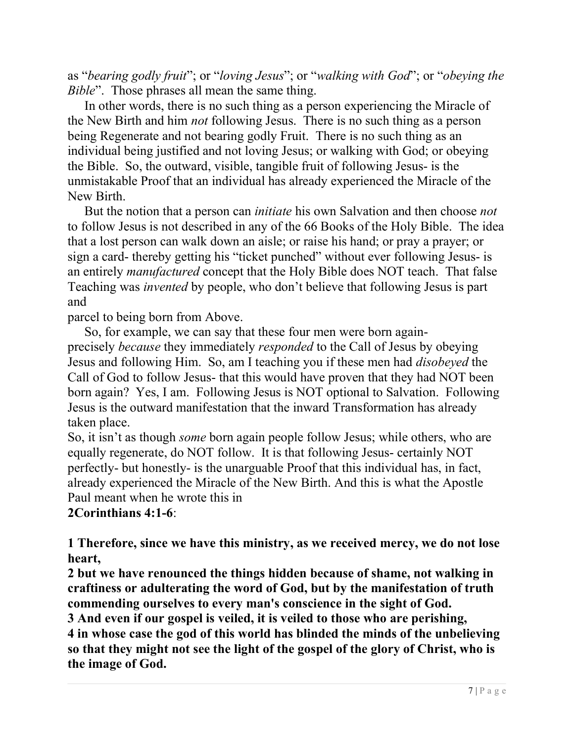as "bearing godly fruit"; or "loving Jesus"; or "walking with God"; or "obeying the Bible". Those phrases all mean the same thing.

In other words, there is no such thing as a person experiencing the Miracle of the New Birth and him not following Jesus. There is no such thing as a person being Regenerate and not bearing godly Fruit. There is no such thing as an individual being justified and not loving Jesus; or walking with God; or obeying the Bible. So, the outward, visible, tangible fruit of following Jesus- is the unmistakable Proof that an individual has already experienced the Miracle of the New Birth.

But the notion that a person can *initiate* his own Salvation and then choose *not* to follow Jesus is not described in any of the 66 Books of the Holy Bible. The idea that a lost person can walk down an aisle; or raise his hand; or pray a prayer; or sign a card- thereby getting his "ticket punched" without ever following Jesus- is an entirely manufactured concept that the Holy Bible does NOT teach. That false Teaching was invented by people, who don't believe that following Jesus is part and

parcel to being born from Above.

So, for example, we can say that these four men were born againprecisely because they immediately responded to the Call of Jesus by obeying Jesus and following Him. So, am I teaching you if these men had disobeyed the Call of God to follow Jesus- that this would have proven that they had NOT been born again? Yes, I am. Following Jesus is NOT optional to Salvation. Following Jesus is the outward manifestation that the inward Transformation has already taken place.

So, it isn't as though some born again people follow Jesus; while others, who are equally regenerate, do NOT follow. It is that following Jesus- certainly NOT perfectly- but honestly- is the unarguable Proof that this individual has, in fact, already experienced the Miracle of the New Birth. And this is what the Apostle Paul meant when he wrote this in

2Corinthians 4:1-6:

1 Therefore, since we have this ministry, as we received mercy, we do not lose heart,

2 but we have renounced the things hidden because of shame, not walking in craftiness or adulterating the word of God, but by the manifestation of truth commending ourselves to every man's conscience in the sight of God.

3 And even if our gospel is veiled, it is veiled to those who are perishing, 4 in whose case the god of this world has blinded the minds of the unbelieving so that they might not see the light of the gospel of the glory of Christ, who is the image of God.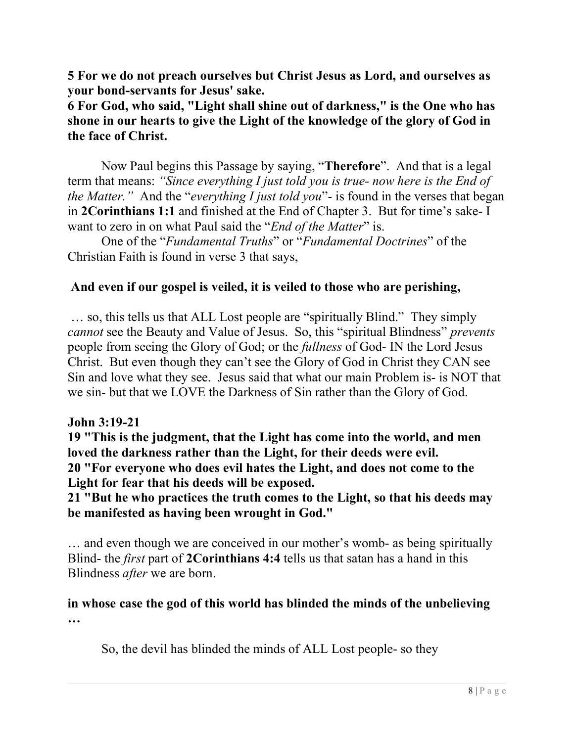5 For we do not preach ourselves but Christ Jesus as Lord, and ourselves as your bond-servants for Jesus' sake.

6 For God, who said, "Light shall shine out of darkness," is the One who has shone in our hearts to give the Light of the knowledge of the glory of God in the face of Christ.

Now Paul begins this Passage by saying, "Therefore". And that is a legal term that means: "Since everything I just told you is true- now here is the End of the Matter." And the "everything I just told you"- is found in the verses that began in 2Corinthians 1:1 and finished at the End of Chapter 3. But for time's sake- I want to zero in on what Paul said the "End of the Matter" is.

One of the "Fundamental Truths" or "Fundamental Doctrines" of the Christian Faith is found in verse 3 that says,

## And even if our gospel is veiled, it is veiled to those who are perishing,

 … so, this tells us that ALL Lost people are "spiritually Blind." They simply cannot see the Beauty and Value of Jesus. So, this "spiritual Blindness" prevents people from seeing the Glory of God; or the fullness of God- IN the Lord Jesus Christ. But even though they can't see the Glory of God in Christ they CAN see Sin and love what they see. Jesus said that what our main Problem is- is NOT that we sin- but that we LOVE the Darkness of Sin rather than the Glory of God.

#### John 3:19-21

19 "This is the judgment, that the Light has come into the world, and men loved the darkness rather than the Light, for their deeds were evil. 20 "For everyone who does evil hates the Light, and does not come to the Light for fear that his deeds will be exposed.

21 "But he who practices the truth comes to the Light, so that his deeds may be manifested as having been wrought in God."

… and even though we are conceived in our mother's womb- as being spiritually Blind- the first part of 2Corinthians 4:4 tells us that satan has a hand in this Blindness after we are born.

# in whose case the god of this world has blinded the minds of the unbelieving …

So, the devil has blinded the minds of ALL Lost people- so they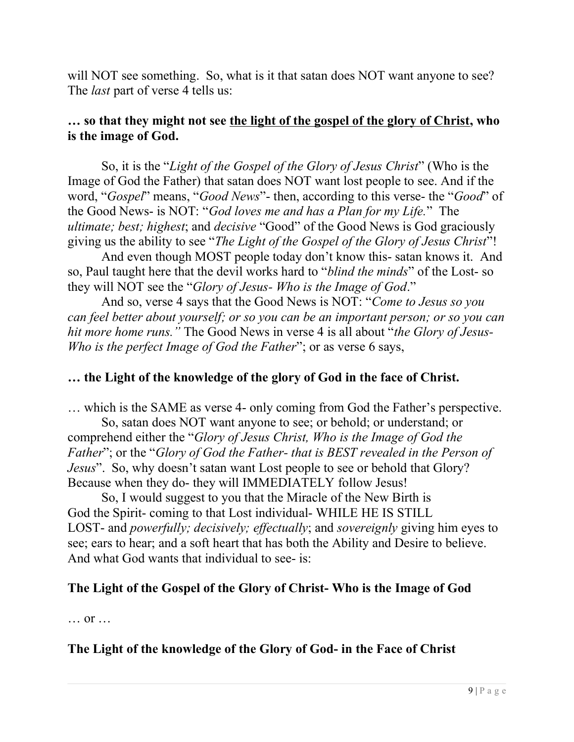will NOT see something. So, what is it that satan does NOT want anyone to see? The *last* part of verse 4 tells us:

## ... so that they might not see the light of the gospel of the glory of Christ, who is the image of God.

So, it is the "Light of the Gospel of the Glory of Jesus Christ" (Who is the Image of God the Father) that satan does NOT want lost people to see. And if the word, "Gospel" means, "Good News"- then, according to this verse- the "Good" of the Good News- is NOT: "God loves me and has a Plan for my Life." The ultimate; best; highest; and decisive "Good" of the Good News is God graciously giving us the ability to see "The Light of the Gospel of the Glory of Jesus Christ"!

And even though MOST people today don't know this- satan knows it. And so, Paul taught here that the devil works hard to "blind the minds" of the Lost- so they will NOT see the "Glory of Jesus- Who is the Image of God."

And so, verse 4 says that the Good News is NOT: "Come to Jesus so you can feel better about yourself; or so you can be an important person; or so you can hit more home runs." The Good News in verse 4 is all about "the Glory of Jesus-Who is the perfect Image of God the Father"; or as verse 6 says,

## … the Light of the knowledge of the glory of God in the face of Christ.

… which is the SAME as verse 4- only coming from God the Father's perspective.

So, satan does NOT want anyone to see; or behold; or understand; or comprehend either the "Glory of Jesus Christ, Who is the Image of God the Father"; or the "Glory of God the Father- that is BEST revealed in the Person of Jesus". So, why doesn't satan want Lost people to see or behold that Glory? Because when they do- they will IMMEDIATELY follow Jesus!

So, I would suggest to you that the Miracle of the New Birth is God the Spirit- coming to that Lost individual- WHILE HE IS STILL LOST- and *powerfully; decisively; effectually;* and *sovereignly* giving him eyes to see; ears to hear; and a soft heart that has both the Ability and Desire to believe. And what God wants that individual to see- is:

## The Light of the Gospel of the Glory of Christ- Who is the Image of God

… or …

## The Light of the knowledge of the Glory of God- in the Face of Christ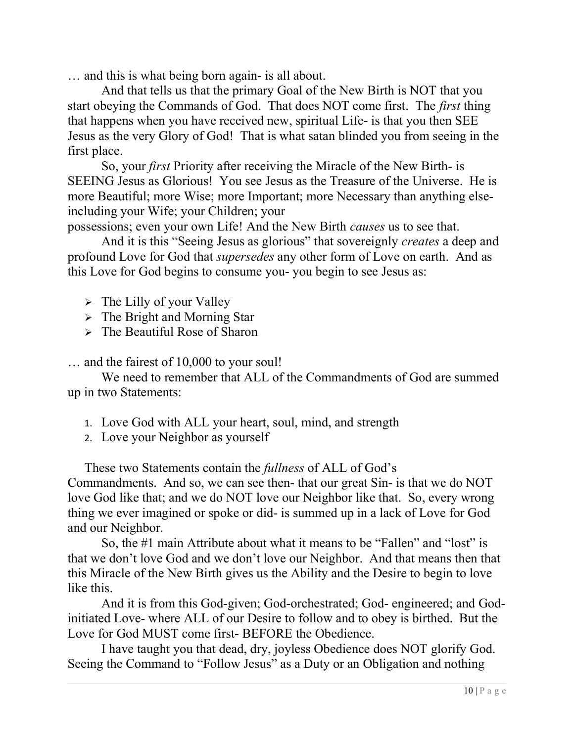… and this is what being born again- is all about.

And that tells us that the primary Goal of the New Birth is NOT that you start obeying the Commands of God. That does NOT come first. The *first* thing that happens when you have received new, spiritual Life- is that you then SEE Jesus as the very Glory of God! That is what satan blinded you from seeing in the first place.

So, your first Priority after receiving the Miracle of the New Birth- is SEEING Jesus as Glorious! You see Jesus as the Treasure of the Universe. He is more Beautiful; more Wise; more Important; more Necessary than anything elseincluding your Wife; your Children; your

possessions; even your own Life! And the New Birth causes us to see that.

And it is this "Seeing Jesus as glorious" that sovereignly creates a deep and profound Love for God that *supersedes* any other form of Love on earth. And as this Love for God begins to consume you- you begin to see Jesus as:

- $\triangleright$  The Lilly of your Valley
- > The Bright and Morning Star
- $\triangleright$  The Beautiful Rose of Sharon

… and the fairest of 10,000 to your soul!

We need to remember that ALL of the Commandments of God are summed up in two Statements:

- 1. Love God with ALL your heart, soul, mind, and strength
- 2. Love your Neighbor as yourself

These two Statements contain the *fullness* of ALL of God's Commandments. And so, we can see then- that our great Sin- is that we do NOT love God like that; and we do NOT love our Neighbor like that. So, every wrong thing we ever imagined or spoke or did- is summed up in a lack of Love for God and our Neighbor.

So, the #1 main Attribute about what it means to be "Fallen" and "lost" is that we don't love God and we don't love our Neighbor. And that means then that this Miracle of the New Birth gives us the Ability and the Desire to begin to love like this.

And it is from this God-given; God-orchestrated; God- engineered; and Godinitiated Love- where ALL of our Desire to follow and to obey is birthed. But the Love for God MUST come first- BEFORE the Obedience.

I have taught you that dead, dry, joyless Obedience does NOT glorify God. Seeing the Command to "Follow Jesus" as a Duty or an Obligation and nothing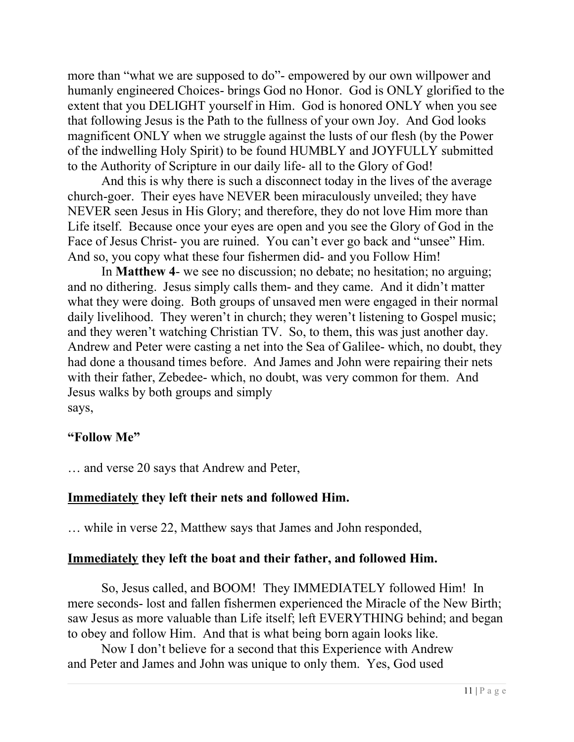more than "what we are supposed to do"- empowered by our own willpower and humanly engineered Choices- brings God no Honor. God is ONLY glorified to the extent that you DELIGHT yourself in Him. God is honored ONLY when you see that following Jesus is the Path to the fullness of your own Joy. And God looks magnificent ONLY when we struggle against the lusts of our flesh (by the Power of the indwelling Holy Spirit) to be found HUMBLY and JOYFULLY submitted to the Authority of Scripture in our daily life- all to the Glory of God!

And this is why there is such a disconnect today in the lives of the average church-goer. Their eyes have NEVER been miraculously unveiled; they have NEVER seen Jesus in His Glory; and therefore, they do not love Him more than Life itself. Because once your eyes are open and you see the Glory of God in the Face of Jesus Christ- you are ruined. You can't ever go back and "unsee" Him. And so, you copy what these four fishermen did- and you Follow Him!

In Matthew 4- we see no discussion; no debate; no hesitation; no arguing; and no dithering. Jesus simply calls them- and they came. And it didn't matter what they were doing. Both groups of unsaved men were engaged in their normal daily livelihood. They weren't in church; they weren't listening to Gospel music; and they weren't watching Christian TV. So, to them, this was just another day. Andrew and Peter were casting a net into the Sea of Galilee- which, no doubt, they had done a thousand times before. And James and John were repairing their nets with their father, Zebedee- which, no doubt, was very common for them. And Jesus walks by both groups and simply says,

#### "Follow Me"

… and verse 20 says that Andrew and Peter,

#### Immediately they left their nets and followed Him.

… while in verse 22, Matthew says that James and John responded,

#### Immediately they left the boat and their father, and followed Him.

So, Jesus called, and BOOM! They IMMEDIATELY followed Him! In mere seconds- lost and fallen fishermen experienced the Miracle of the New Birth; saw Jesus as more valuable than Life itself; left EVERYTHING behind; and began to obey and follow Him. And that is what being born again looks like.

Now I don't believe for a second that this Experience with Andrew and Peter and James and John was unique to only them. Yes, God used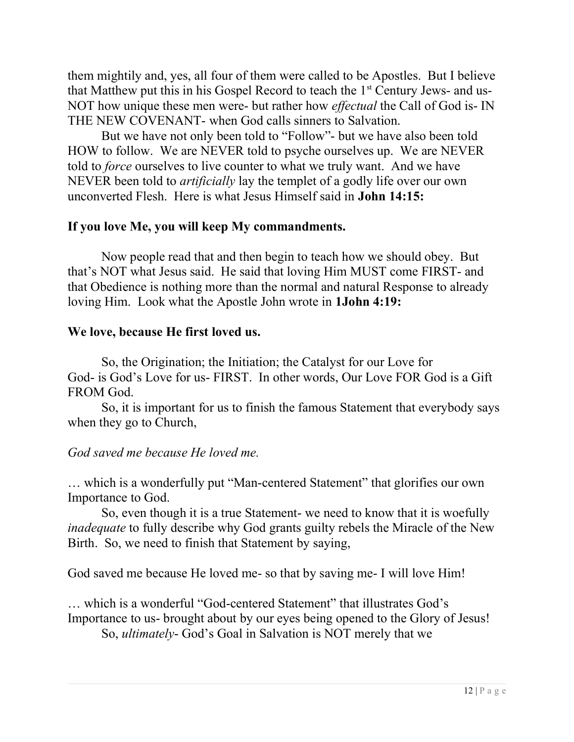them mightily and, yes, all four of them were called to be Apostles. But I believe that Matthew put this in his Gospel Record to teach the  $1<sup>st</sup>$  Century Jews- and us-NOT how unique these men were- but rather how effectual the Call of God is- IN THE NEW COVENANT- when God calls sinners to Salvation.

But we have not only been told to "Follow"- but we have also been told HOW to follow. We are NEVER told to psyche ourselves up. We are NEVER told to force ourselves to live counter to what we truly want. And we have NEVER been told to *artificially* lay the templet of a godly life over our own unconverted Flesh. Here is what Jesus Himself said in John 14:15:

#### If you love Me, you will keep My commandments.

Now people read that and then begin to teach how we should obey. But that's NOT what Jesus said. He said that loving Him MUST come FIRST- and that Obedience is nothing more than the normal and natural Response to already loving Him. Look what the Apostle John wrote in 1John 4:19:

#### We love, because He first loved us.

So, the Origination; the Initiation; the Catalyst for our Love for God- is God's Love for us- FIRST. In other words, Our Love FOR God is a Gift FROM God.

So, it is important for us to finish the famous Statement that everybody says when they go to Church,

## God saved me because He loved me.

… which is a wonderfully put "Man-centered Statement" that glorifies our own Importance to God.

So, even though it is a true Statement- we need to know that it is woefully inadequate to fully describe why God grants guilty rebels the Miracle of the New Birth. So, we need to finish that Statement by saying,

God saved me because He loved me- so that by saving me- I will love Him!

… which is a wonderful "God-centered Statement" that illustrates God's Importance to us- brought about by our eyes being opened to the Glory of Jesus! So, ultimately- God's Goal in Salvation is NOT merely that we

12 | P a g e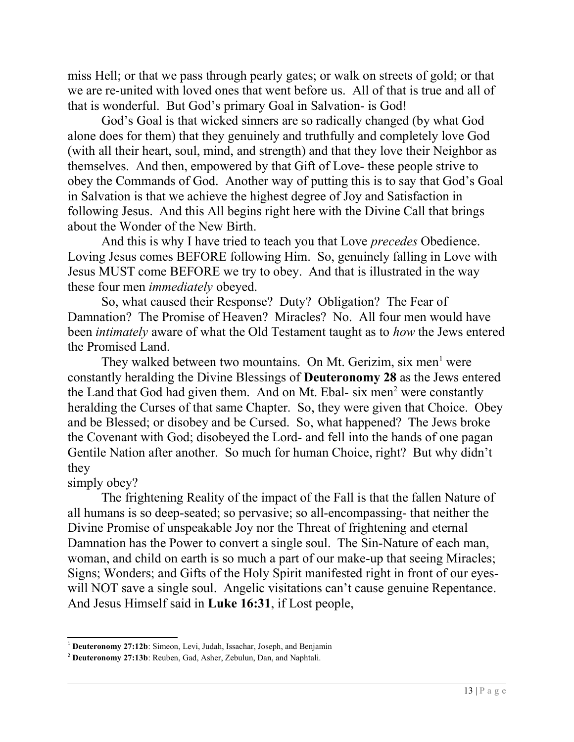miss Hell; or that we pass through pearly gates; or walk on streets of gold; or that we are re-united with loved ones that went before us. All of that is true and all of that is wonderful. But God's primary Goal in Salvation- is God!

God's Goal is that wicked sinners are so radically changed (by what God alone does for them) that they genuinely and truthfully and completely love God (with all their heart, soul, mind, and strength) and that they love their Neighbor as themselves. And then, empowered by that Gift of Love- these people strive to obey the Commands of God. Another way of putting this is to say that God's Goal in Salvation is that we achieve the highest degree of Joy and Satisfaction in following Jesus. And this All begins right here with the Divine Call that brings about the Wonder of the New Birth.

And this is why I have tried to teach you that Love *precedes* Obedience. Loving Jesus comes BEFORE following Him. So, genuinely falling in Love with Jesus MUST come BEFORE we try to obey. And that is illustrated in the way these four men immediately obeyed.

So, what caused their Response? Duty? Obligation? The Fear of Damnation? The Promise of Heaven? Miracles? No. All four men would have been *intimately* aware of what the Old Testament taught as to *how* the Jews entered the Promised Land.

They walked between two mountains. On Mt. Gerizim, six men<sup>1</sup> were constantly heralding the Divine Blessings of Deuteronomy 28 as the Jews entered the Land that God had given them. And on Mt. Ebal- six men<sup>2</sup> were constantly heralding the Curses of that same Chapter. So, they were given that Choice. Obey and be Blessed; or disobey and be Cursed. So, what happened? The Jews broke the Covenant with God; disobeyed the Lord- and fell into the hands of one pagan Gentile Nation after another. So much for human Choice, right? But why didn't they

#### simply obey?

The frightening Reality of the impact of the Fall is that the fallen Nature of all humans is so deep-seated; so pervasive; so all-encompassing- that neither the Divine Promise of unspeakable Joy nor the Threat of frightening and eternal Damnation has the Power to convert a single soul. The Sin-Nature of each man, woman, and child on earth is so much a part of our make-up that seeing Miracles; Signs; Wonders; and Gifts of the Holy Spirit manifested right in front of our eyeswill NOT save a single soul. Angelic visitations can't cause genuine Repentance. And Jesus Himself said in Luke 16:31, if Lost people,

<sup>&</sup>lt;sup>1</sup> Deuteronomy 27:12b: Simeon, Levi, Judah, Issachar, Joseph, and Benjamin

<sup>&</sup>lt;sup>2</sup> Deuteronomy 27:13b: Reuben, Gad, Asher, Zebulun, Dan, and Naphtali.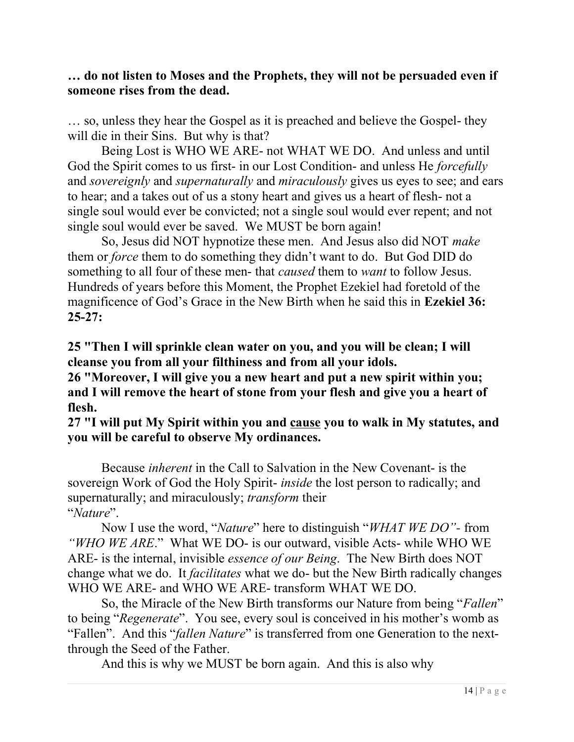## … do not listen to Moses and the Prophets, they will not be persuaded even if someone rises from the dead.

… so, unless they hear the Gospel as it is preached and believe the Gospel- they will die in their Sins. But why is that?

Being Lost is WHO WE ARE- not WHAT WE DO. And unless and until God the Spirit comes to us first- in our Lost Condition- and unless He *forcefully* and *sovereignly* and *supernaturally* and *miraculously* gives us eyes to see; and ears to hear; and a takes out of us a stony heart and gives us a heart of flesh- not a single soul would ever be convicted; not a single soul would ever repent; and not single soul would ever be saved. We MUST be born again!

So, Jesus did NOT hypnotize these men. And Jesus also did NOT make them or force them to do something they didn't want to do. But God DID do something to all four of these men- that *caused* them to *want* to follow Jesus. Hundreds of years before this Moment, the Prophet Ezekiel had foretold of the magnificence of God's Grace in the New Birth when he said this in Ezekiel 36:  $25-27:$ 

25 "Then I will sprinkle clean water on you, and you will be clean; I will cleanse you from all your filthiness and from all your idols.

26 "Moreover, I will give you a new heart and put a new spirit within you; and I will remove the heart of stone from your flesh and give you a heart of flesh.

27 "I will put My Spirit within you and cause you to walk in My statutes, and you will be careful to observe My ordinances.

Because inherent in the Call to Salvation in the New Covenant- is the sovereign Work of God the Holy Spirit- inside the lost person to radically; and supernaturally; and miraculously; transform their "Nature".

Now I use the word, "*Nature*" here to distinguish "*WHAT WE DO*"- from "WHO WE ARE." What WE DO- is our outward, visible Acts- while WHO WE ARE- is the internal, invisible essence of our Being. The New Birth does NOT change what we do. It facilitates what we do- but the New Birth radically changes WHO WE ARE- and WHO WE ARE- transform WHAT WE DO.

So, the Miracle of the New Birth transforms our Nature from being "Fallen" to being "Regenerate". You see, every soul is conceived in his mother's womb as "Fallen". And this "*fallen Nature*" is transferred from one Generation to the nextthrough the Seed of the Father.

And this is why we MUST be born again. And this is also why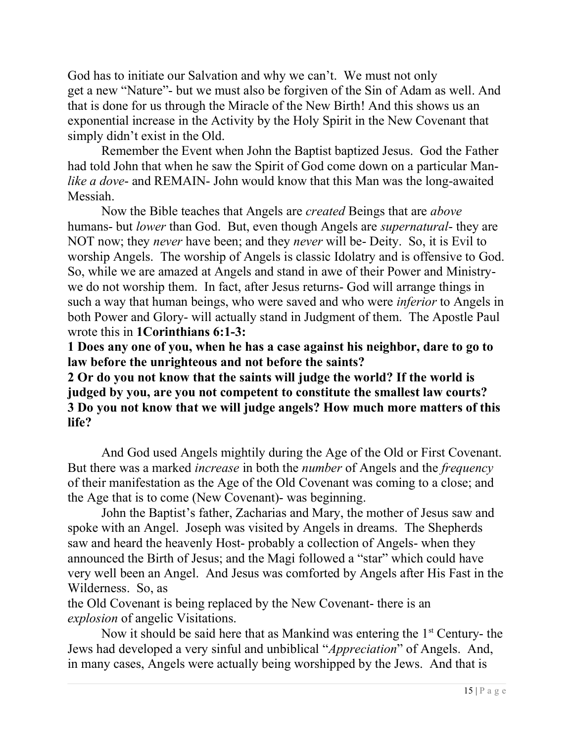God has to initiate our Salvation and why we can't. We must not only get a new "Nature"- but we must also be forgiven of the Sin of Adam as well. And that is done for us through the Miracle of the New Birth! And this shows us an exponential increase in the Activity by the Holy Spirit in the New Covenant that simply didn't exist in the Old.

Remember the Event when John the Baptist baptized Jesus. God the Father had told John that when he saw the Spirit of God come down on a particular Manlike a dove- and REMAIN- John would know that this Man was the long-awaited Messiah.

Now the Bible teaches that Angels are created Beings that are above humans- but *lower* than God. But, even though Angels are *supernatural*- they are NOT now; they *never* have been; and they *never* will be- Deity. So, it is Evil to worship Angels. The worship of Angels is classic Idolatry and is offensive to God. So, while we are amazed at Angels and stand in awe of their Power and Ministrywe do not worship them. In fact, after Jesus returns- God will arrange things in such a way that human beings, who were saved and who were *inferior* to Angels in both Power and Glory- will actually stand in Judgment of them. The Apostle Paul wrote this in 1Corinthians 6:1-3:

1 Does any one of you, when he has a case against his neighbor, dare to go to law before the unrighteous and not before the saints?

2 Or do you not know that the saints will judge the world? If the world is judged by you, are you not competent to constitute the smallest law courts? 3 Do you not know that we will judge angels? How much more matters of this life?

And God used Angels mightily during the Age of the Old or First Covenant. But there was a marked increase in both the number of Angels and the frequency of their manifestation as the Age of the Old Covenant was coming to a close; and the Age that is to come (New Covenant)- was beginning.

John the Baptist's father, Zacharias and Mary, the mother of Jesus saw and spoke with an Angel. Joseph was visited by Angels in dreams. The Shepherds saw and heard the heavenly Host- probably a collection of Angels- when they announced the Birth of Jesus; and the Magi followed a "star" which could have very well been an Angel. And Jesus was comforted by Angels after His Fast in the Wilderness. So, as

the Old Covenant is being replaced by the New Covenant- there is an explosion of angelic Visitations.

Now it should be said here that as Mankind was entering the  $1<sup>st</sup>$  Century- the Jews had developed a very sinful and unbiblical "Appreciation" of Angels. And, in many cases, Angels were actually being worshipped by the Jews. And that is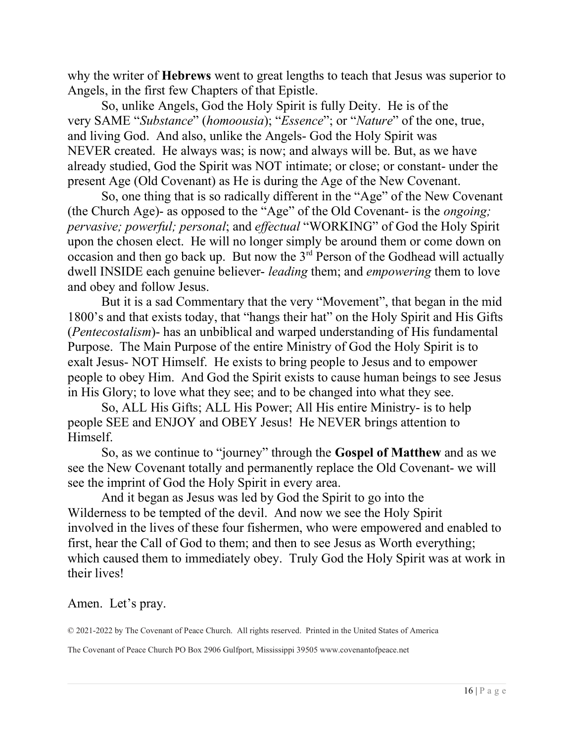why the writer of **Hebrews** went to great lengths to teach that Jesus was superior to Angels, in the first few Chapters of that Epistle.

So, unlike Angels, God the Holy Spirit is fully Deity. He is of the very SAME "Substance" (homoousia); "Essence"; or "Nature" of the one, true, and living God. And also, unlike the Angels- God the Holy Spirit was NEVER created. He always was; is now; and always will be. But, as we have already studied, God the Spirit was NOT intimate; or close; or constant- under the present Age (Old Covenant) as He is during the Age of the New Covenant.

So, one thing that is so radically different in the "Age" of the New Covenant (the Church Age)- as opposed to the "Age" of the Old Covenant- is the ongoing; pervasive; powerful; personal; and effectual "WORKING" of God the Holy Spirit upon the chosen elect. He will no longer simply be around them or come down on occasion and then go back up. But now the  $3<sup>rd</sup>$  Person of the Godhead will actually dwell INSIDE each genuine believer- *leading* them; and *empowering* them to love and obey and follow Jesus.

But it is a sad Commentary that the very "Movement", that began in the mid 1800's and that exists today, that "hangs their hat" on the Holy Spirit and His Gifts (Pentecostalism)- has an unbiblical and warped understanding of His fundamental Purpose. The Main Purpose of the entire Ministry of God the Holy Spirit is to exalt Jesus- NOT Himself. He exists to bring people to Jesus and to empower people to obey Him. And God the Spirit exists to cause human beings to see Jesus in His Glory; to love what they see; and to be changed into what they see.

So, ALL His Gifts; ALL His Power; All His entire Ministry- is to help people SEE and ENJOY and OBEY Jesus! He NEVER brings attention to Himself.

So, as we continue to "journey" through the Gospel of Matthew and as we see the New Covenant totally and permanently replace the Old Covenant- we will see the imprint of God the Holy Spirit in every area.

And it began as Jesus was led by God the Spirit to go into the Wilderness to be tempted of the devil. And now we see the Holy Spirit involved in the lives of these four fishermen, who were empowered and enabled to first, hear the Call of God to them; and then to see Jesus as Worth everything; which caused them to immediately obey. Truly God the Holy Spirit was at work in their lives!

Amen. Let's pray.

© 2021-2022 by The Covenant of Peace Church. All rights reserved. Printed in the United States of America

The Covenant of Peace Church PO Box 2906 Gulfport, Mississippi 39505 www.covenantofpeace.net